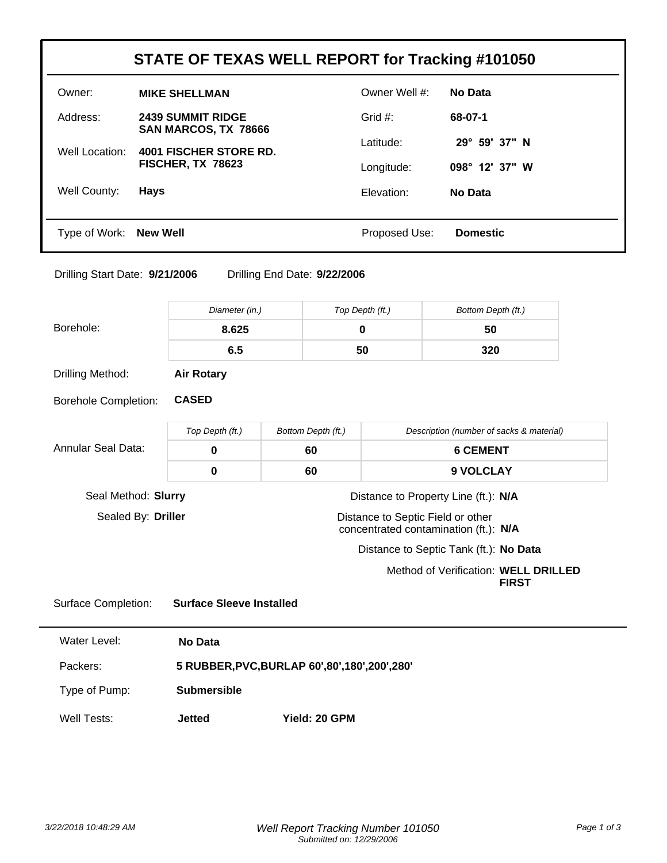| STATE OF TEXAS WELL REPORT for Tracking #101050 |                                                    |               |                        |
|-------------------------------------------------|----------------------------------------------------|---------------|------------------------|
| Owner:                                          | <b>MIKE SHELLMAN</b>                               | Owner Well #: | <b>No Data</b>         |
| Address:                                        | <b>2439 SUMMIT RIDGE</b><br>SAN MARCOS, TX 78666   | Grid $#$ :    | 68-07-1                |
| Well Location:                                  | <b>4001 FISCHER STORE RD.</b><br>FISCHER, TX 78623 | Latitude:     | $29^{\circ}$ 59' 37" N |
|                                                 |                                                    | Longitude:    | 098° 12' 37" W         |
| Well County:                                    | <b>Hays</b>                                        | Elevation:    | No Data                |
|                                                 |                                                    |               |                        |
| Type of Work: New Well                          |                                                    | Proposed Use: | <b>Domestic</b>        |

Drilling Start Date: **9/21/2006** Drilling End Date: **9/22/2006**

|                             | Diameter (in.)                                   |                    | Top Depth (ft.) | Bottom Depth (ft.)                                                         |  |
|-----------------------------|--------------------------------------------------|--------------------|-----------------|----------------------------------------------------------------------------|--|
| Borehole:                   | 8.625                                            |                    | $\mathbf 0$     | 50                                                                         |  |
|                             | 6.5                                              |                    | 50              | 320                                                                        |  |
| Drilling Method:            | <b>Air Rotary</b>                                |                    |                 |                                                                            |  |
| <b>Borehole Completion:</b> | <b>CASED</b>                                     |                    |                 |                                                                            |  |
|                             | Top Depth (ft.)                                  | Bottom Depth (ft.) |                 | Description (number of sacks & material)                                   |  |
| Annular Seal Data:          | $\mathbf 0$                                      | 60                 |                 | <b>6 CEMENT</b>                                                            |  |
|                             | $\bf{0}$                                         | 60                 |                 | 9 VOLCLAY                                                                  |  |
| Seal Method: Slurry         |                                                  |                    |                 | Distance to Property Line (ft.): N/A                                       |  |
| Sealed By: Driller          |                                                  |                    |                 | Distance to Septic Field or other<br>concentrated contamination (ft.): N/A |  |
|                             |                                                  |                    |                 | Distance to Septic Tank (ft.): No Data                                     |  |
|                             |                                                  |                    |                 | Method of Verification: WELL DRILLED<br><b>FIRST</b>                       |  |
| <b>Surface Completion:</b>  | <b>Surface Sleeve Installed</b>                  |                    |                 |                                                                            |  |
| <b>Water Level:</b>         | <b>No Data</b>                                   |                    |                 |                                                                            |  |
| Packers:                    | 5 RUBBER, PVC, BURLAP 60', 80', 180', 200', 280' |                    |                 |                                                                            |  |
| Type of Pump:               | <b>Submersible</b>                               |                    |                 |                                                                            |  |
| Well Tests:                 | <b>Jetted</b>                                    | Yield: 20 GPM      |                 |                                                                            |  |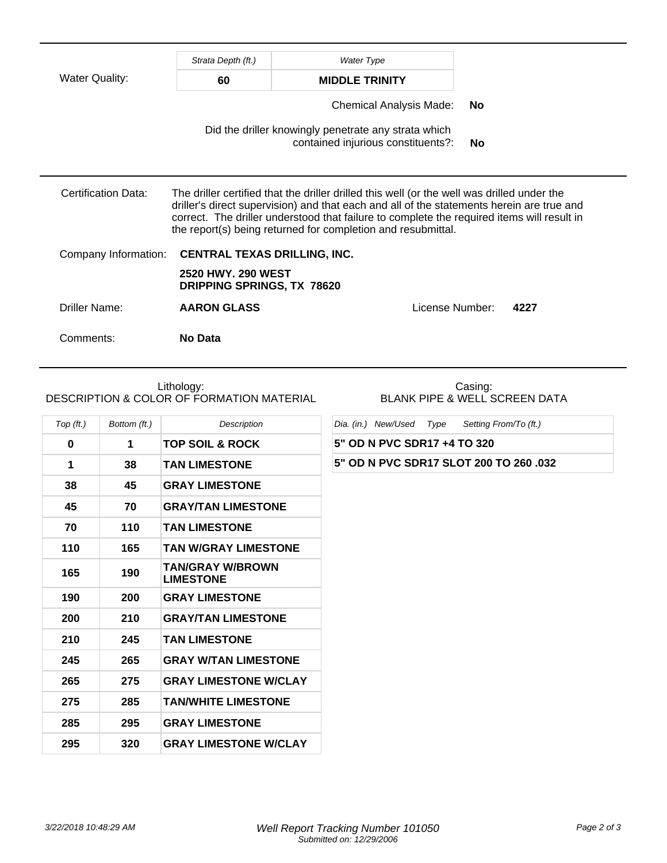|                       | Strata Depth (ft.)                               | <b>Water Type</b>                                                                                                                                                                                                                                                                                                                                      |                 |      |
|-----------------------|--------------------------------------------------|--------------------------------------------------------------------------------------------------------------------------------------------------------------------------------------------------------------------------------------------------------------------------------------------------------------------------------------------------------|-----------------|------|
| <b>Water Quality:</b> | 60                                               | <b>MIDDLE TRINITY</b>                                                                                                                                                                                                                                                                                                                                  |                 |      |
|                       | Chemical Analysis Made:                          |                                                                                                                                                                                                                                                                                                                                                        | <b>No</b>       |      |
|                       |                                                  | Did the driller knowingly penetrate any strata which<br>contained injurious constituents?:                                                                                                                                                                                                                                                             | No              |      |
| Certification Data:   |                                                  | The driller certified that the driller drilled this well (or the well was drilled under the<br>driller's direct supervision) and that each and all of the statements herein are true and<br>correct. The driller understood that failure to complete the required items will result in<br>the report(s) being returned for completion and resubmittal. |                 |      |
| Company Information:  | <b>CENTRAL TEXAS DRILLING, INC.</b>              |                                                                                                                                                                                                                                                                                                                                                        |                 |      |
|                       | 2520 HWY, 290 WEST<br>DRIPPING SPRINGS, TX 78620 |                                                                                                                                                                                                                                                                                                                                                        |                 |      |
| Driller Name:         | <b>AARON GLASS</b>                               |                                                                                                                                                                                                                                                                                                                                                        | License Number: | 4227 |
| Comments:             | No Data                                          |                                                                                                                                                                                                                                                                                                                                                        |                 |      |

## Lithology: DESCRIPTION & COLOR OF FORMATION MATERIAL

| Top (ft.) | Bottom (ft.) | Description                                 |
|-----------|--------------|---------------------------------------------|
| 0         | 1            | TOP SOIL & ROCK                             |
| 1         | 38           | <b>TAN LIMESTONE</b>                        |
| 38        | 45           | <b>GRAY LIMESTONE</b>                       |
| 45        | 70           | <b>GRAY/TAN LIMESTONE</b>                   |
| 70        | 110          | <b>TAN LIMESTONE</b>                        |
| 110       | 165          | <b>TAN W/GRAY LIMESTONE</b>                 |
| 165       | 190          | <b>TAN/GRAY W/BROWN</b><br><b>LIMESTONE</b> |
| 190       | 200          | <b>GRAY LIMESTONE</b>                       |
| 200       | 210          | <b>GRAY/TAN LIMESTONE</b>                   |
| 210       | 245          | <b>TAN LIMESTONE</b>                        |
| 245       | 265          | <b>GRAY W/TAN LIMESTONE</b>                 |
| 265       | 275          | <b>GRAY LIMESTONE W/CLAY</b>                |
| 275       | 285          | <b>TAN/WHITE LIMESTONE</b>                  |
| 285       | 295          | <b>GRAY LIMESTONE</b>                       |
| 295       | 320          | <b>GRAY LIMESTONE W/CLAY</b>                |

Casing: BLANK PIPE & WELL SCREEN DATA

Dia. (in.) New/Used Type Setting From/To (ft.)

**5" OD N PVC SDR17 +4 TO 320**

## **5" OD N PVC SDR17 SLOT 200 TO 260 .032**